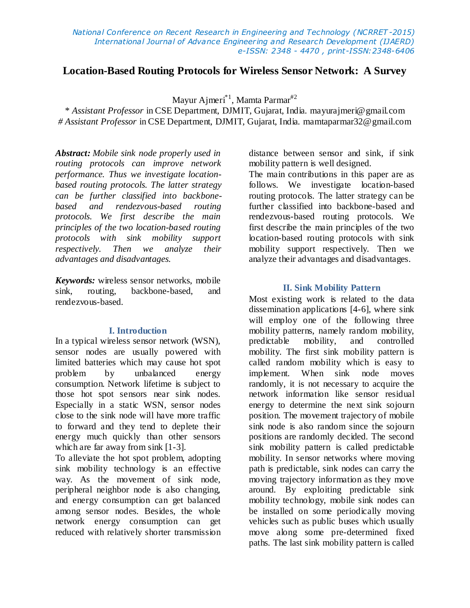# **Location-Based Routing Protocols for Wireless Sensor Network: A Survey**

Mayur Ajmeri\*1 , Mamta Parmar#2

\* *Assistant Professor* in CSE Department, DJMIT, Gujarat, India. mayurajmeri@gmail.com *# Assistant Professor* in CSE Department, DJMIT, Gujarat, India. mamtaparmar32@gmail.com

*Abstract: Mobile sink node properly used in routing protocols can improve network performance. Thus we investigate locationbased routing protocols. The latter strategy can be further classified into backbonebased and rendezvous-based routing protocols. We first describe the main principles of the two location-based routing protocols with sink mobility support respectively. Then we analyze their advantages and disadvantages.*

*Keywords:* wireless sensor networks, mobile sink, routing, backbone-based, and rendezvous-based.

#### **I. Introduction**

In a typical wireless sensor network (WSN), sensor nodes are usually powered with limited batteries which may cause hot spot problem by unbalanced energy consumption. Network lifetime is subject to those hot spot sensors near sink nodes. Especially in a static WSN, sensor nodes close to the sink node will have more traffic to forward and they tend to deplete their energy much quickly than other sensors which are far away from sink [1-3].

To alleviate the hot spot problem, adopting sink mobility technology is an effective way. As the movement of sink node, peripheral neighbor node is also changing, and energy consumption can get balanced among sensor nodes. Besides, the whole network energy consumption can get reduced with relatively shorter transmission distance between sensor and sink, if sink mobility pattern is well designed.

The main contributions in this paper are as follows. We investigate location-based routing protocols. The latter strategy can be further classified into backbone-based and rendezvous-based routing protocols. We first describe the main principles of the two location-based routing protocols with sink mobility support respectively. Then we analyze their advantages and disadvantages.

#### **II. Sink Mobility Pattern**

Most existing work is related to the data dissemination applications [4-6], where sink will employ one of the following three mobility patterns, namely random mobility, predictable mobility, and controlled mobility. The first sink mobility pattern is called random mobility which is easy to implement. When sink node moves randomly, it is not necessary to acquire the network information like sensor residual energy to determine the next sink sojourn position. The movement trajectory of mobile sink node is also random since the sojourn positions are randomly decided. The second sink mobility pattern is called predictable mobility. In sensor networks where moving path is predictable, sink nodes can carry the moving trajectory information as they move around. By exploiting predictable sink mobility technology, mobile sink nodes can be installed on some periodically moving vehicles such as public buses which usually move along some pre-determined fixed paths. The last sink mobility pattern is called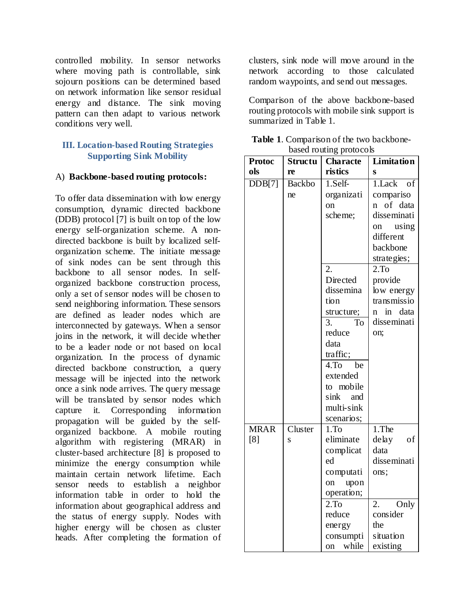controlled mobility. In sensor networks where moving path is controllable, sink sojourn positions can be determined based on network information like sensor residual energy and distance. The sink moving pattern can then adapt to various network conditions very well.

# **III. Location-based Routing Strategies Supporting Sink Mobility**

#### A) **Backbone-based routing protocols:**

To offer data dissemination with low energy consumption, dynamic directed backbone (DDB) protocol [7] is built on top of the low energy self-organization scheme. A nondirected backbone is built by localized selforganization scheme. The initiate message of sink nodes can be sent through this backbone to all sensor nodes. In selforganized backbone construction process, only a set of sensor nodes will be chosen to send neighboring information. These sensors are defined as leader nodes which are interconnected by gateways. When a sensor joins in the network, it will decide whether to be a leader node or not based on local organization. In the process of dynamic directed backbone construction, a query message will be injected into the network once a sink node arrives. The query message will be translated by sensor nodes which capture it. Corresponding information propagation will be guided by the selforganized backbone. A mobile routing algorithm with registering (MRAR) in cluster-based architecture [8] is proposed to minimize the energy consumption while maintain certain network lifetime. Each sensor needs to establish a neighbor information table in order to hold the information about geographical address and the status of energy supply. Nodes with higher energy will be chosen as cluster heads. After completing the formation of

clusters, sink node will move around in the network according to those calculated random waypoints, and send out messages.

Comparison of the above backbone-based routing protocols with mobile sink support is summarized in Table 1.

| <b>Table 1.</b> Comparison of the two backbone- |  |
|-------------------------------------------------|--|
| based routing protocols                         |  |

| <b>Protoc</b> | <b>Structu</b> | $\mathbf{u}$ <sub>n</sub> $\mathbf{v}$<br><b>Characte</b> | Limitation              |
|---------------|----------------|-----------------------------------------------------------|-------------------------|
| ols           | re             | ristics                                                   | S                       |
| DDB[7]        | <b>Backbo</b>  | $1.$ Self-                                                | 1.Lack of               |
|               | ne             | organizati                                                | compariso               |
|               |                | on                                                        | n of data               |
|               |                | scheme;                                                   | disseminati             |
|               |                |                                                           | on using                |
|               |                |                                                           | different               |
|               |                |                                                           | backbone                |
|               |                |                                                           | strategies;             |
|               |                | 2.                                                        | 2.To                    |
|               |                | Directed                                                  | provide                 |
|               |                | dissemina                                                 | low energy              |
|               |                | tion                                                      | transmissio             |
|               |                | structure;                                                | in data<br>$\mathbf{n}$ |
|               |                | <b>To</b><br>3.                                           | disseminati             |
|               |                | reduce                                                    | on;                     |
|               |                | data                                                      |                         |
|               |                | traffic;                                                  |                         |
|               |                | 4.T <sub>O</sub><br>be                                    |                         |
|               |                | extended                                                  |                         |
|               |                | to mobile                                                 |                         |
|               |                | sink and                                                  |                         |
|               |                | multi-sink                                                |                         |
| <b>MRAR</b>   | Cluster        | scenarios;<br>1.T <sub>O</sub>                            | 1.The                   |
| [8]           | S              | eliminate                                                 | delay<br>of             |
|               |                | complicat                                                 | data                    |
|               |                | ed                                                        | disseminati             |
|               |                | computati                                                 | ons;                    |
|               |                | upon<br>on                                                |                         |
|               |                | operation;                                                |                         |
|               |                | 2.To                                                      | 2.<br>Only              |
|               |                | reduce                                                    | consider                |
|               |                | energy                                                    | the                     |
|               |                | consumpti                                                 | situation               |
|               |                | while<br>on                                               | existing                |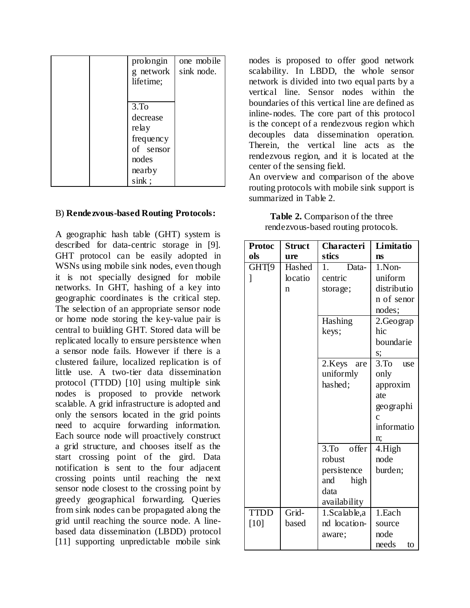|  | prolongin<br>g network<br>lifetime;                                                         | one mobile<br>sink node. |
|--|---------------------------------------------------------------------------------------------|--------------------------|
|  | 3.T <sub>0</sub><br>decrease<br>relay<br>frequency<br>of sensor<br>nodes<br>nearby<br>sink; |                          |

#### B) **Rendezvous-based Routing Protocols:**

A geographic hash table (GHT) system is described for data-centric storage in [9]. GHT protocol can be easily adopted in WSNs using mobile sink nodes, even though it is not specially designed for mobile networks. In GHT, hashing of a key into geographic coordinates is the critical step. The selection of an appropriate sensor node or home node storing the key-value pair is central to building GHT. Stored data will be replicated locally to ensure persistence when a sensor node fails. However if there is a clustered failure, localized replication is of little use. A two-tier data dissemination protocol (TTDD) [10] using multiple sink nodes is proposed to provide network scalable. A grid infrastructure is adopted and only the sensors located in the grid points need to acquire forwarding information. Each source node will proactively construct a grid structure, and chooses itself as the start crossing point of the gird. Data notification is sent to the four adjacent crossing points until reaching the next sensor node closest to the crossing point by greedy geographical forwarding. Queries from sink nodes can be propagated along the grid until reaching the source node. A linebased data dissemination (LBDD) protocol [11] supporting unpredictable mobile sink

nodes is proposed to offer good network scalability. In LBDD, the whole sensor network is divided into two equal parts by a vertical line. Sensor nodes within the boundaries of this vertical line are defined as inline-nodes. The core part of this protocol is the concept of a rendezvous region which decouples data dissemination operation. Therein, the vertical line acts as the rendezvous region, and it is located at the center of the sensing field.

An overview and comparison of the above routing protocols with mobile sink support is summarized in Table 2.

| Table 2. Comparison of the three    |
|-------------------------------------|
| rendezvous-based routing protocols. |

| <b>Protoc</b> | <b>Struct</b> | Characteri       | Limitatio                  |
|---------------|---------------|------------------|----------------------------|
| ols           | ure           | stics            | <b>ns</b>                  |
| GHT[9         | Hashed        | 1.<br>Data-      | $1$ . Non-                 |
| 1             | locatio       | centric          | uniform                    |
|               | n             | storage;         | distributio                |
|               |               |                  | n of senor                 |
|               |               |                  | nodes;                     |
|               |               | Hashing          | 2.Geograp                  |
|               |               | keys;            | hic                        |
|               |               |                  | boundarie                  |
|               |               |                  | s;                         |
|               |               | 2.Keys<br>are    | 3.T <sub>0</sub><br>use    |
|               |               | uniformly        | only                       |
|               |               | hashed;          | approxim                   |
|               |               |                  | ate                        |
|               |               |                  | geographi                  |
|               |               |                  | $\mathbf{c}$<br>informatio |
|               |               |                  |                            |
|               |               | $3.$ To<br>offer | n;<br>4.High               |
|               |               | robust           | node                       |
|               |               | persistence      | burden;                    |
|               |               | and<br>high      |                            |
|               |               | data             |                            |
|               |               | availability     |                            |
| <b>TTDD</b>   | Grid-         | 1. Scalable, a   | 1.Each                     |
| [10]          | based         | nd location-     | source                     |
|               |               | aware;           | node                       |
|               |               |                  | needs<br>to                |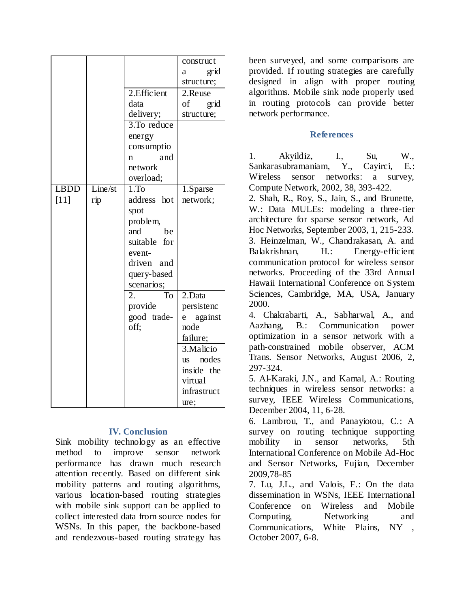|             |         |                  | construct               |
|-------------|---------|------------------|-------------------------|
|             |         |                  | grid<br>a               |
|             |         |                  | structure;              |
|             |         | 2.Efficient      | 2.Reuse                 |
|             |         | data             | of<br>grid              |
|             |         | delivery;        | structure;              |
|             |         | 3.To reduce      |                         |
|             |         | energy           |                         |
|             |         | consumptio       |                         |
|             |         | and<br>n         |                         |
|             |         | network          |                         |
|             |         | overload;        |                         |
| <b>LBDD</b> | Line/st | 1.T <sub>0</sub> | 1.Sparse                |
| $[11]$      | rip     | address hot      | network;                |
|             |         | spot             |                         |
|             |         | problem,         |                         |
|             |         | and<br>be        |                         |
|             |         | suitable for     |                         |
|             |         | event-           |                         |
|             |         | driven and       |                         |
|             |         | query-based      |                         |
|             |         | scenarios;       |                         |
|             |         | 2.<br>To         | 2.Data                  |
|             |         | provide          | persistenc              |
|             |         | good trade-      | $\mathbf{e}$<br>against |
|             |         | off;             | node                    |
|             |         |                  |                         |
|             |         |                  | failure;                |
|             |         |                  | 3. Malicio              |
|             |         |                  | us nodes                |
|             |         |                  | inside the              |
|             |         |                  | virtual                 |
|             |         |                  | infrastruct             |
|             |         |                  | ure;                    |

# **IV. Conclusion**

Sink mobility technology as an effective method to improve sensor network performance has drawn much research attention recently. Based on different sink mobility patterns and routing algorithms, various location-based routing strategies with mobile sink support can be applied to collect interested data from source nodes for WSNs. In this paper, the backbone-based and rendezvous-based routing strategy has

been surveyed, and some comparisons are provided. If routing strategies are carefully designed in align with proper routing algorithms. Mobile sink node properly used in routing protocols can provide better network performance.

### **References**

1. Akyildiz, I., Su, W., Sankarasubramaniam, Y., Cayirci, E.: Wireless sensor networks: a survey, Compute Network, 2002, 38, 393-422.

2. Shah, R., Roy, S., Jain, S., and Brunette, W.: Data MULEs: modeling a three-tier architecture for sparse sensor network, Ad Hoc Networks, September 2003, 1, 215-233. 3. Heinzelman, W., Chandrakasan, A. and Balakrishnan, H.: Energy-efficient communication protocol for wireless sensor networks. Proceeding of the 33rd Annual Hawaii International Conference on System Sciences, Cambridge, MA, USA, January 2000.

4. Chakrabarti, A., Sabharwal, A., and Aazhang, B.: Communication power optimization in a sensor network with a path-constrained mobile observer, ACM Trans. Sensor Networks, August 2006, 2, 297-324.

5. Al-Karaki, J.N., and Kamal, A.: Routing techniques in wireless sensor networks: a survey, IEEE Wireless Communications, December 2004, 11, 6-28.

6. Lambrou, T., and Panayiotou, C.: A survey on routing technique supporting mobility in sensor networks, 5th International Conference on Mobile Ad-Hoc and Sensor Networks, Fujian, December 2009,78-85

7. Lu, J.L., and Valois, F.: On the data dissemination in WSNs, IEEE International Conference on Wireless and Mobile Computing, Networking and Communications, White Plains, NY , October 2007, 6-8.